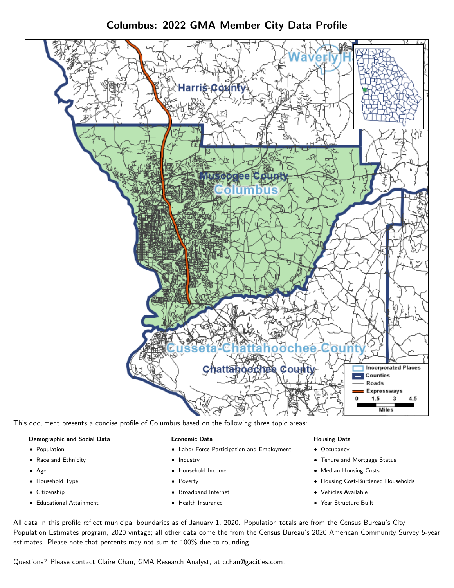Columbus: 2022 GMA Member City Data Profile



This document presents a concise profile of Columbus based on the following three topic areas:

#### Demographic and Social Data

- **•** Population
- Race and Ethnicity
- Age
- Household Type
- **Citizenship**
- Educational Attainment

#### Economic Data

- Labor Force Participation and Employment
- Industry
- Household Income
- Poverty
- Broadband Internet
- Health Insurance

#### Housing Data

- Occupancy
- Tenure and Mortgage Status
- Median Housing Costs
- Housing Cost-Burdened Households
- Vehicles Available
- Year Structure Built

All data in this profile reflect municipal boundaries as of January 1, 2020. Population totals are from the Census Bureau's City Population Estimates program, 2020 vintage; all other data come the from the Census Bureau's 2020 American Community Survey 5-year estimates. Please note that percents may not sum to 100% due to rounding.

Questions? Please contact Claire Chan, GMA Research Analyst, at [cchan@gacities.com.](mailto:cchan@gacities.com)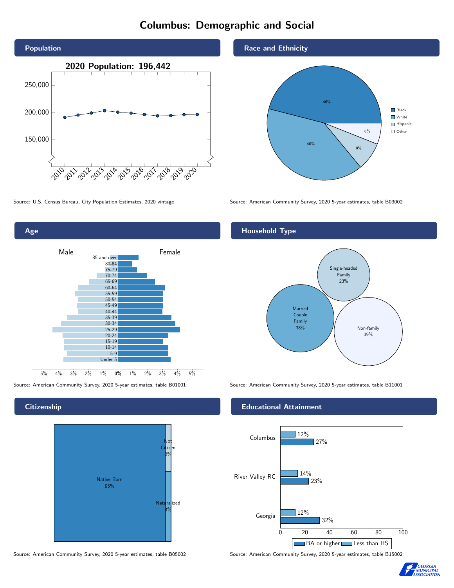# Columbus: Demographic and Social





**Citizenship** 



Source: American Community Survey, 2020 5-year estimates, table B05002 Source: American Community Survey, 2020 5-year estimates, table B15002

#### Race and Ethnicity



Source: U.S. Census Bureau, City Population Estimates, 2020 vintage Source: American Community Survey, 2020 5-year estimates, table B03002

#### Household Type



Source: American Community Survey, 2020 5-year estimates, table B01001 Source: American Community Survey, 2020 5-year estimates, table B11001

#### Educational Attainment



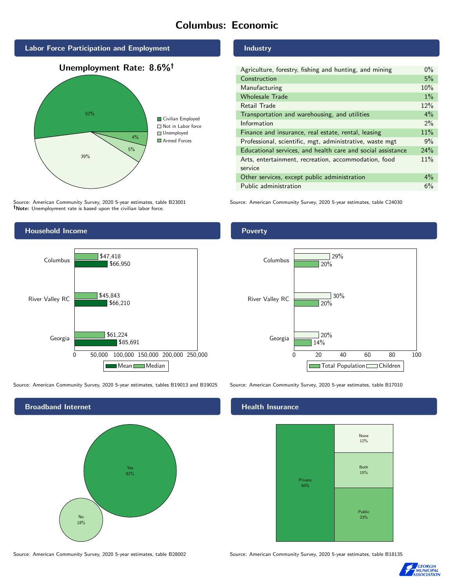# Columbus: Economic



Source: American Community Survey, 2020 5-year estimates, table B23001 Note: Unemployment rate is based upon the civilian labor force.



Source: American Community Survey, 2020 5-year estimates, tables B19013 and B19025 Source: American Community Survey, 2020 5-year estimates, table B17010



Source: American Community Survey, 2020 5-year estimates, table B28002 Source: American Community Survey, 2020 5-year estimates, table B18135

Industry

| Agriculture, forestry, fishing and hunting, and mining      | $0\%$ |
|-------------------------------------------------------------|-------|
| Construction                                                | 5%    |
| Manufacturing                                               | 10%   |
| <b>Wholesale Trade</b>                                      | $1\%$ |
| Retail Trade                                                | 12%   |
| Transportation and warehousing, and utilities               | $4\%$ |
| Information                                                 | $2\%$ |
| Finance and insurance, real estate, rental, leasing         | 11%   |
| Professional, scientific, mgt, administrative, waste mgt    | 9%    |
| Educational services, and health care and social assistance | 24%   |
| Arts, entertainment, recreation, accommodation, food        | 11%   |
| service                                                     |       |
| Other services, except public administration                | $4\%$ |
| Public administration                                       | 6%    |

Source: American Community Survey, 2020 5-year estimates, table C24030

#### Poverty



#### **Health Insurance**